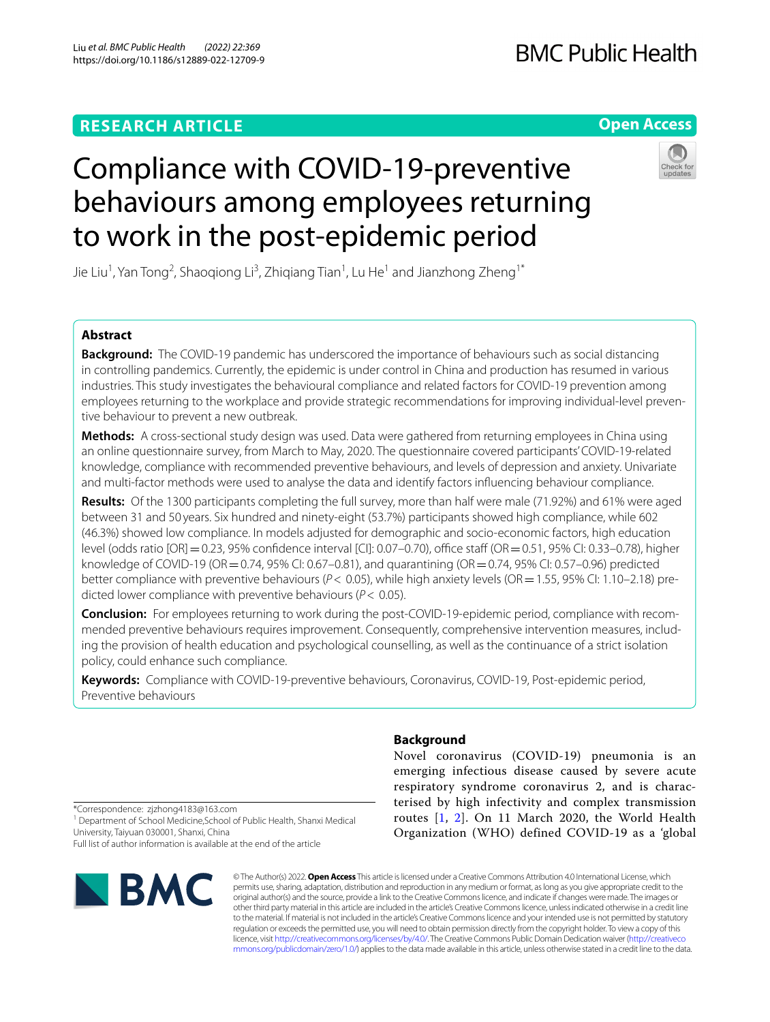# **RESEARCH ARTICLE**

# **Open Access**



# Compliance with COVID-19-preventive behaviours among employees returning to work in the post-epidemic period

Jie Liu<sup>1</sup>, Yan Tong<sup>2</sup>, Shaoqiong Li<sup>3</sup>, Zhiqiang Tian<sup>1</sup>, Lu He<sup>1</sup> and Jianzhong Zheng<sup>1\*</sup>

# **Abstract**

**Background:** The COVID-19 pandemic has underscored the importance of behaviours such as social distancing in controlling pandemics. Currently, the epidemic is under control in China and production has resumed in various industries. This study investigates the behavioural compliance and related factors for COVID-19 prevention among employees returning to the workplace and provide strategic recommendations for improving individual-level preventive behaviour to prevent a new outbreak.

**Methods:** A cross-sectional study design was used. Data were gathered from returning employees in China using an online questionnaire survey, from March to May, 2020. The questionnaire covered participants' COVID-19-related knowledge, compliance with recommended preventive behaviours, and levels of depression and anxiety. Univariate and multi-factor methods were used to analyse the data and identify factors infuencing behaviour compliance.

**Results:** Of the 1300 participants completing the full survey, more than half were male (71.92%) and 61% were aged between 31 and 50 years. Six hundred and ninety-eight (53.7%) participants showed high compliance, while 602 (46.3%) showed low compliance. In models adjusted for demographic and socio-economic factors, high education level (odds ratio [OR] = 0.23, 95% confidence interval [CI]: 0.07–0.70), office staff (OR = 0.51, 95% CI: 0.33–0.78), higher knowledge of COVID-19 (OR = 0.74, 95% CI: 0.67–0.81), and quarantining (OR = 0.74, 95% CI: 0.57–0.96) predicted better compliance with preventive behaviours ( $P$  < 0.05), while high anxiety levels (OR = 1.55, 95% CI: 1.10–2.18) predicted lower compliance with preventive behaviours (*P*< 0.05).

**Conclusion:** For employees returning to work during the post-COVID-19-epidemic period, compliance with recommended preventive behaviours requires improvement. Consequently, comprehensive intervention measures, including the provision of health education and psychological counselling, as well as the continuance of a strict isolation policy, could enhance such compliance.

**Keywords:** Compliance with COVID-19-preventive behaviours, Coronavirus, COVID-19, Post-epidemic period, Preventive behaviours

# **Background**

Novel coronavirus (COVID-19) pneumonia is an emerging infectious disease caused by severe acute respiratory syndrome coronavirus 2, and is characterised by high infectivity and complex transmission routes [[1,](#page-8-0) [2\]](#page-8-1). On 11 March 2020, the World Health Organization (WHO) defined COVID-19 as a 'global

\*Correspondence: zjzhong4183@163.com

<sup>1</sup> Department of School Medicine, School of Public Health, Shanxi Medical University, Taiyuan 030001, Shanxi, China

Full list of author information is available at the end of the article



© The Author(s) 2022. **Open Access** This article is licensed under a Creative Commons Attribution 4.0 International License, which permits use, sharing, adaptation, distribution and reproduction in any medium or format, as long as you give appropriate credit to the original author(s) and the source, provide a link to the Creative Commons licence, and indicate if changes were made. The images or other third party material in this article are included in the article's Creative Commons licence, unless indicated otherwise in a credit line to the material. If material is not included in the article's Creative Commons licence and your intended use is not permitted by statutory regulation or exceeds the permitted use, you will need to obtain permission directly from the copyright holder. To view a copy of this licence, visit [http://creativecommons.org/licenses/by/4.0/.](http://creativecommons.org/licenses/by/4.0/) The Creative Commons Public Domain Dedication waiver ([http://creativeco](http://creativecommons.org/publicdomain/zero/1.0/) [mmons.org/publicdomain/zero/1.0/](http://creativecommons.org/publicdomain/zero/1.0/)) applies to the data made available in this article, unless otherwise stated in a credit line to the data.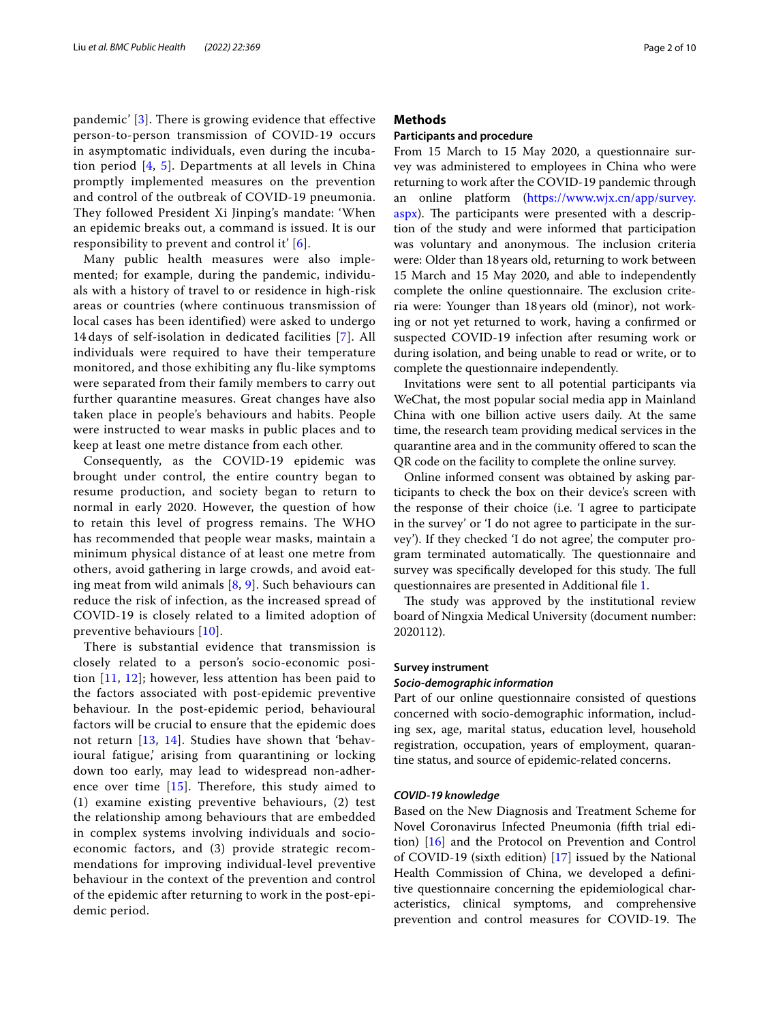pandemic' [[3](#page-8-2)]. There is growing evidence that effective person-to-person transmission of COVID-19 occurs in asymptomatic individuals, even during the incubation period [[4](#page-8-3), [5\]](#page-8-4). Departments at all levels in China promptly implemented measures on the prevention and control of the outbreak of COVID-19 pneumonia. They followed President Xi Jinping's mandate: 'When an epidemic breaks out, a command is issued. It is our responsibility to prevent and control it' [[6\]](#page-8-5).

Many public health measures were also implemented; for example, during the pandemic, individuals with a history of travel to or residence in high-risk areas or countries (where continuous transmission of local cases has been identified) were asked to undergo 14 days of self-isolation in dedicated facilities [\[7](#page-8-6)]. All individuals were required to have their temperature monitored, and those exhibiting any flu-like symptoms were separated from their family members to carry out further quarantine measures. Great changes have also taken place in people's behaviours and habits. People were instructed to wear masks in public places and to keep at least one metre distance from each other.

Consequently, as the COVID-19 epidemic was brought under control, the entire country began to resume production, and society began to return to normal in early 2020. However, the question of how to retain this level of progress remains. The WHO has recommended that people wear masks, maintain a minimum physical distance of at least one metre from others, avoid gathering in large crowds, and avoid eating meat from wild animals [[8,](#page-8-7) [9\]](#page-8-8). Such behaviours can reduce the risk of infection, as the increased spread of COVID-19 is closely related to a limited adoption of preventive behaviours [[10\]](#page-8-9).

There is substantial evidence that transmission is closely related to a person's socio-economic position [[11,](#page-8-10) [12\]](#page-8-11); however, less attention has been paid to the factors associated with post-epidemic preventive behaviour. In the post-epidemic period, behavioural factors will be crucial to ensure that the epidemic does not return [[13](#page-8-12), [14](#page-8-13)]. Studies have shown that 'behavioural fatigue,' arising from quarantining or locking down too early, may lead to widespread non-adherence over time [[15](#page-8-14)]. Therefore, this study aimed to (1) examine existing preventive behaviours, (2) test the relationship among behaviours that are embedded in complex systems involving individuals and socioeconomic factors, and (3) provide strategic recommendations for improving individual-level preventive behaviour in the context of the prevention and control of the epidemic after returning to work in the post-epidemic period.

# **Methods**

# **Participants and procedure**

From 15 March to 15 May 2020, a questionnaire survey was administered to employees in China who were returning to work after the COVID-19 pandemic through an online platform ([https://www.wjx.cn/app/survey.](https://www.wjx.cn/app/survey.aspx) [aspx](https://www.wjx.cn/app/survey.aspx)). The participants were presented with a description of the study and were informed that participation was voluntary and anonymous. The inclusion criteria were: Older than 18 years old, returning to work between 15 March and 15 May 2020, and able to independently complete the online questionnaire. The exclusion criteria were: Younger than 18years old (minor), not working or not yet returned to work, having a confrmed or suspected COVID-19 infection after resuming work or during isolation, and being unable to read or write, or to complete the questionnaire independently.

Invitations were sent to all potential participants via WeChat, the most popular social media app in Mainland China with one billion active users daily. At the same time, the research team providing medical services in the quarantine area and in the community ofered to scan the QR code on the facility to complete the online survey.

Online informed consent was obtained by asking participants to check the box on their device's screen with the response of their choice (i.e. 'I agree to participate in the survey' or 'I do not agree to participate in the survey'). If they checked 'I do not agree', the computer program terminated automatically. The questionnaire and survey was specifically developed for this study. The full questionnaires are presented in Additional fle [1](#page-7-0).

The study was approved by the institutional review board of Ningxia Medical University (document number: 2020112).

# **Survey instrument**

# *Socio‑demographic information*

Part of our online questionnaire consisted of questions concerned with socio-demographic information, including sex, age, marital status, education level, household registration, occupation, years of employment, quarantine status, and source of epidemic-related concerns.

# *COVID‑19 knowledge*

Based on the New Diagnosis and Treatment Scheme for Novel Coronavirus Infected Pneumonia (ffth trial edition) [[16](#page-8-15)] and the Protocol on Prevention and Control of COVID-19 (sixth edition) [\[17](#page-8-16)] issued by the National Health Commission of China, we developed a defnitive questionnaire concerning the epidemiological characteristics, clinical symptoms, and comprehensive prevention and control measures for COVID-19. The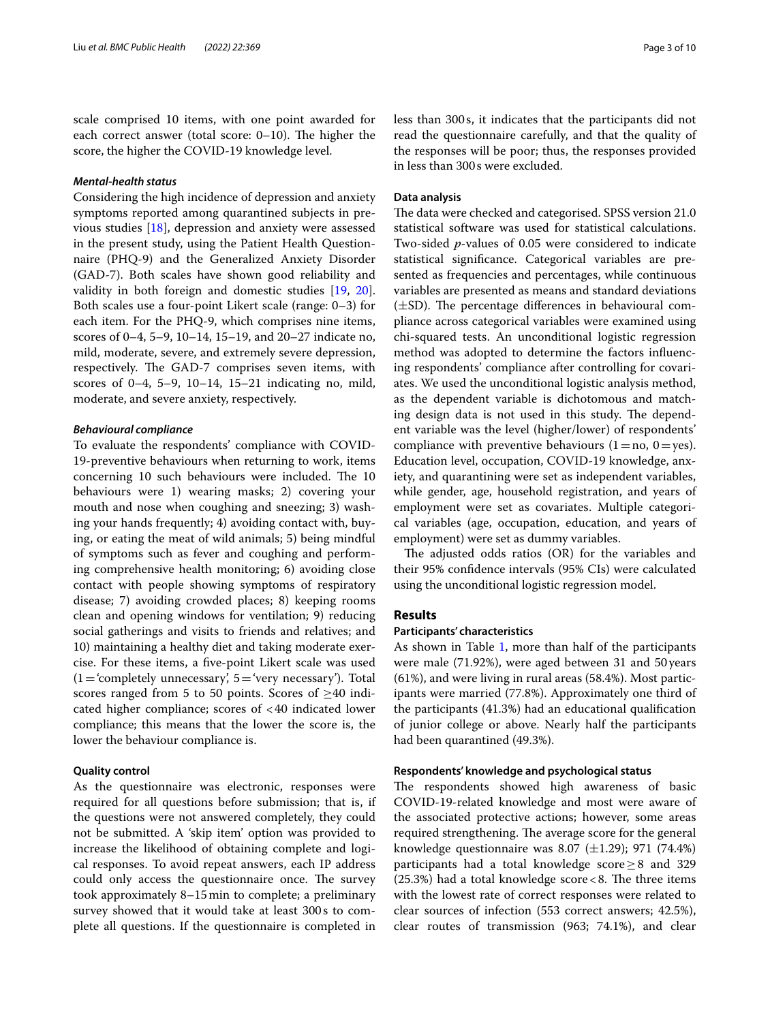scale comprised 10 items, with one point awarded for each correct answer (total score:  $0-10$ ). The higher the score, the higher the COVID-19 knowledge level.

# *Mental‑health status*

Considering the high incidence of depression and anxiety symptoms reported among quarantined subjects in previous studies [\[18](#page-8-17)], depression and anxiety were assessed in the present study, using the Patient Health Questionnaire (PHQ-9) and the Generalized Anxiety Disorder (GAD-7). Both scales have shown good reliability and validity in both foreign and domestic studies [[19,](#page-8-18) [20](#page-8-19)]. Both scales use a four-point Likert scale (range: 0–3) for each item. For the PHQ-9, which comprises nine items, scores of 0–4, 5–9, 10–14, 15–19, and 20–27 indicate no, mild, moderate, severe, and extremely severe depression, respectively. The GAD-7 comprises seven items, with scores of 0–4, 5–9, 10–14, 15–21 indicating no, mild, moderate, and severe anxiety, respectively.

# *Behavioural compliance*

To evaluate the respondents' compliance with COVID-19-preventive behaviours when returning to work, items concerning 10 such behaviours were included. The 10 behaviours were 1) wearing masks; 2) covering your mouth and nose when coughing and sneezing; 3) washing your hands frequently; 4) avoiding contact with, buying, or eating the meat of wild animals; 5) being mindful of symptoms such as fever and coughing and performing comprehensive health monitoring; 6) avoiding close contact with people showing symptoms of respiratory disease; 7) avoiding crowded places; 8) keeping rooms clean and opening windows for ventilation; 9) reducing social gatherings and visits to friends and relatives; and 10) maintaining a healthy diet and taking moderate exercise. For these items, a fve-point Likert scale was used  $(1=$  'completely unnecessary',  $5=$  'very necessary'). Total scores ranged from 5 to 50 points. Scores of  $\geq$ 40 indicated higher compliance; scores of <40 indicated lower compliance; this means that the lower the score is, the lower the behaviour compliance is.

# **Quality control**

As the questionnaire was electronic, responses were required for all questions before submission; that is, if the questions were not answered completely, they could not be submitted. A 'skip item' option was provided to increase the likelihood of obtaining complete and logical responses. To avoid repeat answers, each IP address could only access the questionnaire once. The survey took approximately 8–15min to complete; a preliminary survey showed that it would take at least 300s to complete all questions. If the questionnaire is completed in less than 300s, it indicates that the participants did not read the questionnaire carefully, and that the quality of the responses will be poor; thus, the responses provided in less than 300s were excluded.

# **Data analysis**

The data were checked and categorised. SPSS version 21.0 statistical software was used for statistical calculations. Two-sided *p*-values of 0.05 were considered to indicate statistical signifcance. Categorical variables are presented as frequencies and percentages, while continuous variables are presented as means and standard deviations  $(\pm SD)$ . The percentage differences in behavioural compliance across categorical variables were examined using chi-squared tests. An unconditional logistic regression method was adopted to determine the factors infuencing respondents' compliance after controlling for covariates. We used the unconditional logistic analysis method, as the dependent variable is dichotomous and matching design data is not used in this study. The dependent variable was the level (higher/lower) of respondents' compliance with preventive behaviours  $(1=no, 0=yes)$ . Education level, occupation, COVID-19 knowledge, anxiety, and quarantining were set as independent variables, while gender, age, household registration, and years of employment were set as covariates. Multiple categorical variables (age, occupation, education, and years of employment) were set as dummy variables.

The adjusted odds ratios  $(OR)$  for the variables and their 95% confdence intervals (95% CIs) were calculated using the unconditional logistic regression model.

# **Results**

# **Participants' characteristics**

As shown in Table [1,](#page-3-0) more than half of the participants were male (71.92%), were aged between 31 and 50 years (61%), and were living in rural areas (58.4%). Most participants were married (77.8%). Approximately one third of the participants (41.3%) had an educational qualifcation of junior college or above. Nearly half the participants had been quarantined (49.3%).

#### **Respondents' knowledge and psychological status**

The respondents showed high awareness of basic COVID-19-related knowledge and most were aware of the associated protective actions; however, some areas required strengthening. The average score for the general knowledge questionnaire was 8.07  $(\pm 1.29)$ ; 971 (74.4%) participants had a total knowledge score≥8 and 329 (25.3%) had a total knowledge score  $<$  8. The three items with the lowest rate of correct responses were related to clear sources of infection (553 correct answers; 42.5%), clear routes of transmission (963; 74.1%), and clear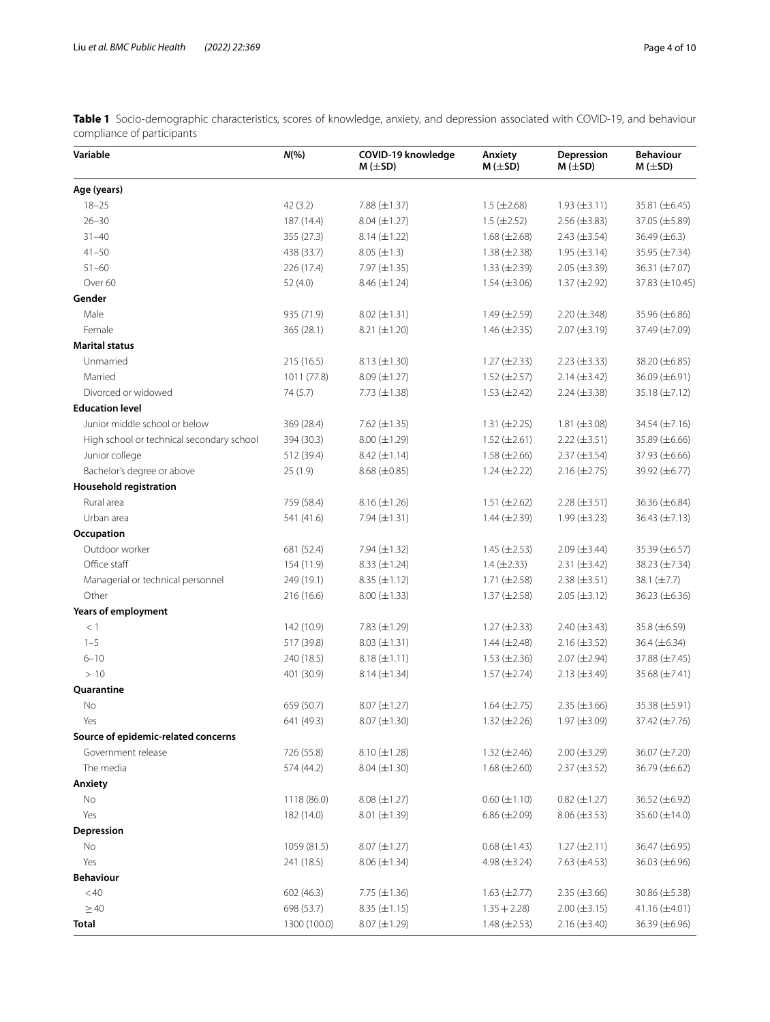<span id="page-3-0"></span>**Table 1** Socio-demographic characteristics, scores of knowledge, anxiety, and depression associated with COVID-19, and behaviour compliance of participants

| Variable                                  | $N(\% )$     | COVID-19 knowledge<br>$M (\pm SD)$ | Anxiety<br>$M (\pm SD)$ | Depression<br>$M (\pm SD)$ | <b>Behaviour</b><br>$M (\pm SD)$ |
|-------------------------------------------|--------------|------------------------------------|-------------------------|----------------------------|----------------------------------|
| Age (years)                               |              |                                    |                         |                            |                                  |
| $18 - 25$                                 | 42(3.2)      | $7.88 \ (\pm 1.37)$                | $1.5 (\pm 2.68)$        | $1.93 \ (\pm 3.11)$        | 35.81 (±6.45)                    |
| $26 - 30$                                 | 187 (14.4)   | $8.04 (\pm 1.27)$                  | $1.5 (\pm 2.52)$        | $2.56 \ (\pm 3.83)$        | 37.05 (±5.89)                    |
| $31 - 40$                                 | 355 (27.3)   | $8.14 (\pm 1.22)$                  | $1.68 \ (\pm 2.68)$     | $2.43 \ (\pm 3.54)$        | 36.49 $(\pm 6.3)$                |
| $41 - 50$                                 | 438 (33.7)   | $8.05 (\pm 1.3)$                   | $1.38 \, (\pm 2.38)$    | $1.95 \ (\pm 3.14)$        | 35.95 (±7.34)                    |
| $51 - 60$                                 | 226 (17.4)   | $7.97 \ (\pm 1.35)$                | $1.33 \ (\pm 2.39)$     | $2.05 \ (\pm 3.39)$        | 36.31 (±7.07)                    |
| Over 60                                   | 52(4.0)      | $8.46 (\pm 1.24)$                  | $1.54 \ (\pm 3.06)$     | $1.37 \ (\pm 2.92)$        | 37.83 (±10.45)                   |
| Gender                                    |              |                                    |                         |                            |                                  |
| Male                                      | 935 (71.9)   | $8.02 \ (\pm 1.31)$                | $1.49 \ (\pm 2.59)$     | $2.20 (\pm .348)$          | 35.96 (±6.86)                    |
| Female                                    | 365 (28.1)   | $8.21 (\pm 1.20)$                  | $1.46 \ (\pm 2.35)$     | $2.07 \ (\pm 3.19)$        | 37.49 (±7.09)                    |
| <b>Marital status</b>                     |              |                                    |                         |                            |                                  |
| Unmarried                                 | 215 (16.5)   | $8.13 \ (\pm 1.30)$                | $1.27 \ (\pm 2.33)$     | $2.23 \ (\pm 3.33)$        | 38.20 (±6.85)                    |
| Married                                   | 1011 (77.8)  | $8.09 \ (\pm 1.27)$                | $1.52 \ (\pm 2.57)$     | $2.14 (\pm 3.42)$          | 36.09 (±6.91)                    |
| Divorced or widowed                       | 74 (5.7)     | 7.73 $(\pm 1.38)$                  | $1.53 \ (\pm 2.42)$     | $2.24 (\pm 3.38)$          | 35.18 (±7.12)                    |
| <b>Education level</b>                    |              |                                    |                         |                            |                                  |
| Junior middle school or below             | 369 (28.4)   | 7.62 $(\pm 1.35)$                  | $1.31 (\pm 2.25)$       | $1.81 (\pm 3.08)$          | 34.54 (±7.16)                    |
| High school or technical secondary school | 394 (30.3)   | $8.00 \ (\pm 1.29)$                | $1.52 \ (\pm 2.61)$     | $2.22 \ (\pm 3.51)$        | 35.89 (±6.66)                    |
| Junior college                            | 512 (39.4)   | $8.42 \ (\pm 1.14)$                | $1.58 \ (\pm 2.66)$     | $2.37 \ (\pm 3.54)$        | 37.93 (±6.66)                    |
| Bachelor's degree or above                | 25(1.9)      | $8.68 \, (\pm 0.85)$               | $1.24 (\pm 2.22)$       | $2.16 \, (\pm 2.75)$       | 39.92 (±6.77)                    |
| <b>Household registration</b>             |              |                                    |                         |                            |                                  |
| Rural area                                | 759 (58.4)   | $8.16 (\pm 1.26)$                  | $1.51 (\pm 2.62)$       | $2.28 (\pm 3.51)$          | 36.36 (±6.84)                    |
| Urban area                                | 541 (41.6)   | 7.94 $(\pm 1.31)$                  | $1.44 \ (\pm 2.39)$     | $1.99 \ (\pm 3.23)$        | $36.43 (\pm 7.13)$               |
| Occupation                                |              |                                    |                         |                            |                                  |
| Outdoor worker                            | 681 (52.4)   | 7.94 $(\pm 1.32)$                  | $1.45 \ (\pm 2.53)$     | $2.09 \ (\pm 3.44)$        | 35.39 (±6.57)                    |
| Office staff                              | 154 (11.9)   | $8.33 \ (\pm 1.24)$                | $1.4 (\pm 2.33)$        | $2.31 (\pm 3.42)$          | 38.23 (±7.34)                    |
| Managerial or technical personnel         | 249 (19.1)   | $8.35 (\pm 1.12)$                  | $1.71 (\pm 2.58)$       | $2.38 \ (\pm 3.51)$        | 38.1 (±7.7)                      |
| Other                                     | 216 (16.6)   | $8.00 (\pm 1.33)$                  | $1.37 \ (\pm 2.58)$     | $2.05 (\pm 3.12)$          | 36.23 (±6.36)                    |
| Years of employment                       |              |                                    |                         |                            |                                  |
| $<$ 1                                     | 142 (10.9)   | 7.83 $(\pm 1.29)$                  | $1.27 (\pm 2.33)$       | $2.40 \ (\pm 3.43)$        | 35.8 (±6.59)                     |
| $1 - 5$                                   | 517 (39.8)   | $8.03 (\pm 1.31)$                  | $1.44 \ (\pm 2.48)$     | $2.16 (\pm 3.52)$          | 36.4 (±6.34)                     |
| $6 - 10$                                  | 240 (18.5)   | $8.18 (\pm 1.11)$                  | $1.53 \ (\pm 2.36)$     | $2.07 (\pm 2.94)$          | 37.88 (±7.45)                    |
| >10                                       | 401 (30.9)   | $8.14 (\pm 1.34)$                  | $1.57 \, (\pm 2.74)$    | $2.13 \ (\pm 3.49)$        | 35.68 (±7.41)                    |
| Quarantine                                |              |                                    |                         |                            |                                  |
| No                                        | 659 (50.7)   | $8.07 (\pm 1.27)$                  | 1.64 $(\pm 2.75)$       | $2.35 \ (\pm 3.66)$        | 35.38 (±5.91)                    |
| Yes.                                      | 641 (49.3)   | $8.07 (\pm 1.30)$                  | $1.32 \ (\pm 2.26)$     | $1.97 \ (\pm 3.09)$        | 37.42 (±7.76)                    |
| Source of epidemic-related concerns       |              |                                    |                         |                            |                                  |
| Government release                        | 726 (55.8)   | $8.10 (\pm 1.28)$                  | $1.32 \ (\pm 2.46)$     | $2.00 \ (\pm 3.29)$        | 36.07 (±7.20)                    |
| The media                                 | 574 (44.2)   | $8.04 (\pm 1.30)$                  | $1.68 \ (\pm 2.60)$     | $2.37 \ (\pm 3.52)$        | 36.79 (±6.62)                    |
| Anxiety                                   |              |                                    |                         |                            |                                  |
| No                                        | 1118 (86.0)  | $8.08 (\pm 1.27)$                  | $0.60 \ (\pm 1.10)$     | $0.82 (\pm 1.27)$          | 36.52 (±6.92)                    |
| Yes                                       | 182 (14.0)   | $8.01 (\pm 1.39)$                  | $6.86 \ (\pm 2.09)$     | $8.06 \ (\pm 3.53)$        | 35.60 $(\pm 14.0)$               |
| Depression                                |              |                                    |                         |                            |                                  |
| No                                        | 1059 (81.5)  | $8.07 (\pm 1.27)$                  | $0.68 (\pm 1.43)$       | $1.27 (\pm 2.11)$          | 36.47 (±6.95)                    |
| Yes                                       | 241 (18.5)   | $8.06 (\pm 1.34)$                  | 4.98 $(\pm 3.24)$       | 7.63 $(\pm 4.53)$          | 36.03 (±6.96)                    |
| <b>Behaviour</b>                          |              |                                    |                         |                            |                                  |
| $<\!40$                                   | 602 (46.3)   | 7.75 ( $\pm$ 1.36)                 | $1.63 \ (\pm 2.77)$     | $2.35 \ (\pm 3.66)$        | 30.86 (±5.38)                    |
| $\geq 40$                                 | 698 (53.7)   | $8.35 (\pm 1.15)$                  | $1.35 + 2.28$           | $2.00 \ (\pm 3.15)$        | $41.16 \, (\pm 4.01)$            |
| Total                                     | 1300 (100.0) | $8.07 (\pm 1.29)$                  | $1.48 \ (\pm 2.53)$     | $2.16 (\pm 3.40)$          | 36.39 (±6.96)                    |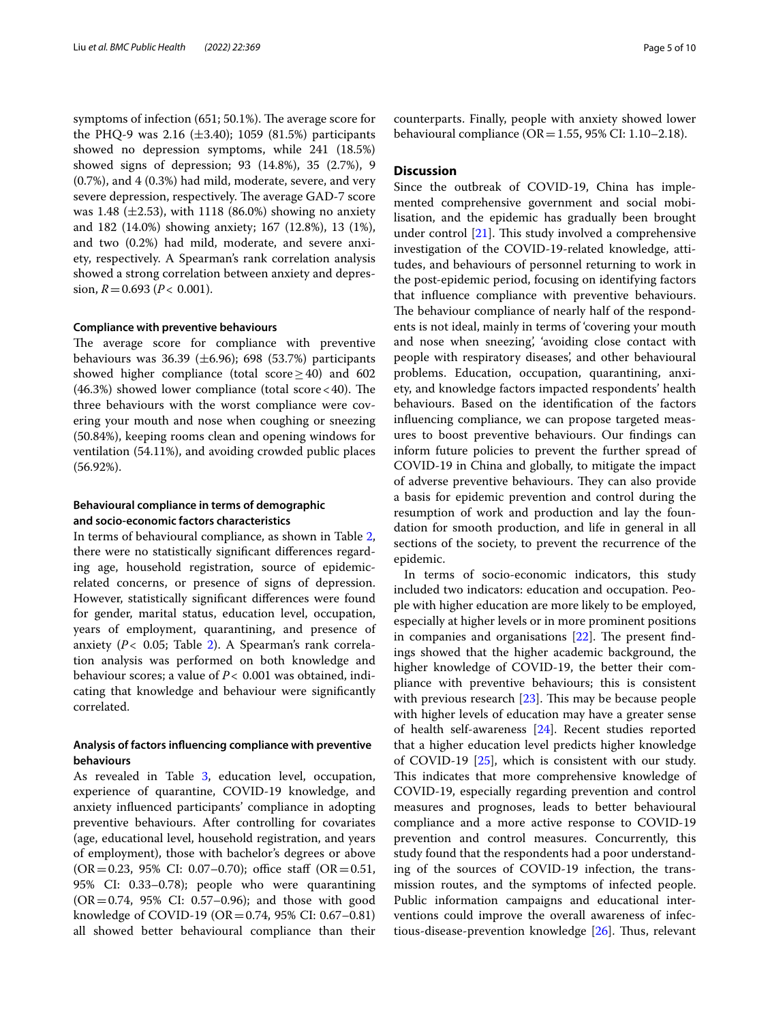symptoms of infection (651; 50.1%). The average score for the PHQ-9 was 2.16  $(\pm 3.40)$ ; 1059  $(81.5%)$  participants showed no depression symptoms, while 241 (18.5%) showed signs of depression; 93 (14.8%), 35 (2.7%), 9 (0.7%), and 4 (0.3%) had mild, moderate, severe, and very severe depression, respectively. The average GAD-7 score was 1.48 ( $\pm$ 2.53), with 1118 (86.0%) showing no anxiety and 182 (14.0%) showing anxiety; 167 (12.8%), 13 (1%), and two (0.2%) had mild, moderate, and severe anxiety, respectively. A Spearman's rank correlation analysis showed a strong correlation between anxiety and depression,  $R = 0.693$  ( $P < 0.001$ ).

# **Compliance with preventive behaviours**

The average score for compliance with preventive behaviours was 36.39  $(\pm 6.96)$ ; 698  $(53.7%)$  participants showed higher compliance (total score  $\geq$  40) and 602  $(46.3%)$  showed lower compliance (total score < 40). The three behaviours with the worst compliance were covering your mouth and nose when coughing or sneezing (50.84%), keeping rooms clean and opening windows for ventilation (54.11%), and avoiding crowded public places (56.92%).

# **Behavioural compliance in terms of demographic and socio-economic factors characteristics**

In terms of behavioural compliance, as shown in Table [2](#page-5-0), there were no statistically signifcant diferences regarding age, household registration, source of epidemicrelated concerns, or presence of signs of depression. However, statistically signifcant diferences were found for gender, marital status, education level, occupation, years of employment, quarantining, and presence of anxiety (*P*< 0.05; Table [2](#page-5-0)). A Spearman's rank correlation analysis was performed on both knowledge and behaviour scores; a value of *P*< 0.001 was obtained, indicating that knowledge and behaviour were signifcantly correlated.

# **Analysis of factors infuencing compliance with preventive behaviours**

As revealed in Table [3](#page-6-0), education level, occupation, experience of quarantine, COVID-19 knowledge, and anxiety infuenced participants' compliance in adopting preventive behaviours. After controlling for covariates (age, educational level, household registration, and years of employment), those with bachelor's degrees or above  $(OR = 0.23, 95\% \text{ CI: } 0.07 - 0.70)$ ; office staff  $(OR = 0.51,$ 95% CI: 0.33–0.78); people who were quarantining (OR=0.74, 95% CI: 0.57–0.96); and those with good knowledge of COVID-19 (OR =  $0.74$ , 95% CI: 0.67–0.81) all showed better behavioural compliance than their counterparts. Finally, people with anxiety showed lower behavioural compliance ( $OR = 1.55$ , 95% CI: 1.10–2.18).

# **Discussion**

Since the outbreak of COVID-19, China has implemented comprehensive government and social mobilisation, and the epidemic has gradually been brought under control  $[21]$  $[21]$ . This study involved a comprehensive investigation of the COVID-19-related knowledge, attitudes, and behaviours of personnel returning to work in the post-epidemic period, focusing on identifying factors that infuence compliance with preventive behaviours. The behaviour compliance of nearly half of the respondents is not ideal, mainly in terms of 'covering your mouth and nose when sneezing', 'avoiding close contact with people with respiratory diseases', and other behavioural problems. Education, occupation, quarantining, anxiety, and knowledge factors impacted respondents' health behaviours. Based on the identifcation of the factors infuencing compliance, we can propose targeted measures to boost preventive behaviours. Our fndings can inform future policies to prevent the further spread of COVID-19 in China and globally, to mitigate the impact of adverse preventive behaviours. They can also provide a basis for epidemic prevention and control during the resumption of work and production and lay the foundation for smooth production, and life in general in all sections of the society, to prevent the recurrence of the epidemic.

In terms of socio-economic indicators, this study included two indicators: education and occupation. People with higher education are more likely to be employed, especially at higher levels or in more prominent positions in companies and organisations  $[22]$  $[22]$ . The present findings showed that the higher academic background, the higher knowledge of COVID-19, the better their compliance with preventive behaviours; this is consistent with previous research  $[23]$  $[23]$ . This may be because people with higher levels of education may have a greater sense of health self-awareness [[24\]](#page-8-23). Recent studies reported that a higher education level predicts higher knowledge of COVID-19 [[25](#page-8-24)], which is consistent with our study. This indicates that more comprehensive knowledge of COVID-19, especially regarding prevention and control measures and prognoses, leads to better behavioural compliance and a more active response to COVID-19 prevention and control measures. Concurrently, this study found that the respondents had a poor understanding of the sources of COVID-19 infection, the transmission routes, and the symptoms of infected people. Public information campaigns and educational interventions could improve the overall awareness of infectious-disease-prevention knowledge  $[26]$  $[26]$  $[26]$ . Thus, relevant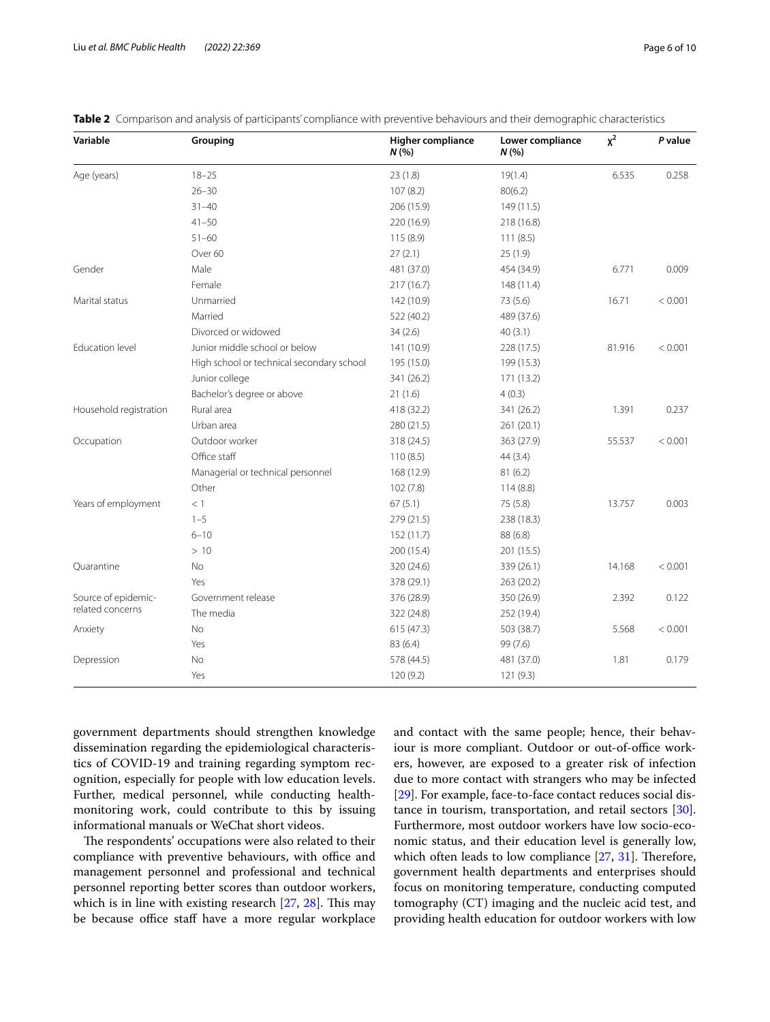| Variable                                | Grouping                                  | <b>Higher compliance</b><br>N(% | Lower compliance<br>N(% | $x^2$   | P value |
|-----------------------------------------|-------------------------------------------|---------------------------------|-------------------------|---------|---------|
| Age (years)                             | $18 - 25$                                 | 23(1.8)                         | 19(1.4)                 | 6.535   | 0.258   |
|                                         | $26 - 30$                                 | 107(8.2)                        | 80(6.2)                 |         |         |
|                                         | $31 - 40$                                 | 206 (15.9)                      | 149 (11.5)              |         |         |
|                                         | $41 - 50$                                 | 220 (16.9)                      | 218 (16.8)              |         |         |
|                                         | $51 - 60$                                 | 115(8.9)                        | 111(8.5)                |         |         |
|                                         | Over 60                                   | 27(2.1)                         | 25(1.9)                 |         |         |
| Gender                                  | Male                                      | 481 (37.0)                      | 454 (34.9)              | 6.771   | 0.009   |
|                                         | Female                                    | 217 (16.7)                      | 148 (11.4)              |         |         |
| Marital status                          | Unmarried<br>142 (10.9)<br>73 (5.6)       |                                 | 16.71                   | < 0.001 |         |
|                                         | Married                                   | 522 (40.2)                      | 489 (37.6)              |         |         |
|                                         | Divorced or widowed                       | 34(2.6)                         | 40(3.1)                 |         |         |
| Education level                         | Junior middle school or below             | 141 (10.9)                      | 228 (17.5)              | 81.916  | < 0.001 |
|                                         | High school or technical secondary school | 195 (15.0)                      | 199 (15.3)              |         |         |
|                                         | Junior college                            | 341 (26.2)                      | 171 (13.2)              |         |         |
|                                         | Bachelor's degree or above                | 21(1.6)                         | 4(0.3)                  |         |         |
| Household registration                  | Rural area                                | 418 (32.2)                      | 341 (26.2)              | 1.391   | 0.237   |
|                                         | Urban area                                | 280 (21.5)                      | 261 (20.1)              |         |         |
| Occupation                              | Outdoor worker                            | 318 (24.5)                      | 363 (27.9)              | 55.537  | < 0.001 |
|                                         | Office staff                              | 110(8.5)                        | 44 (3.4)                |         |         |
|                                         | Managerial or technical personnel         | 168 (12.9)                      | 81(6.2)                 |         |         |
|                                         | Other                                     | 102(7.8)                        | 114(8.8)                |         |         |
| Years of employment                     | < 1                                       | 67(5.1)                         | 75 (5.8)                | 13.757  | 0.003   |
|                                         | $1 - 5$                                   | 279 (21.5)                      | 238 (18.3)              |         |         |
|                                         | $6 - 10$                                  | 152 (11.7)                      | 88 (6.8)                |         |         |
|                                         | >10                                       | 200 (15.4)                      | 201 (15.5)              |         |         |
| Quarantine                              | No                                        | 320 (24.6)                      | 339 (26.1)              | 14.168  | < 0.001 |
|                                         | Yes                                       | 378 (29.1)                      | 263 (20.2)              |         |         |
| Source of epidemic-<br>related concerns | Government release                        | 376 (28.9)                      | 350 (26.9)              | 2.392   | 0.122   |
|                                         | The media                                 | 322 (24.8)                      | 252 (19.4)              |         |         |
| Anxiety                                 | <b>No</b>                                 | 615(47.3)                       | 503 (38.7)              | 5.568   | < 0.001 |
|                                         | Yes                                       | 83 (6.4)                        | 99 (7.6)                |         |         |
| Depression                              | No                                        | 578 (44.5)                      | 481 (37.0)              | 1.81    | 0.179   |
|                                         | Yes                                       | 120 (9.2)                       | 121 (9.3)               |         |         |

<span id="page-5-0"></span>**Table 2** Comparison and analysis of participants' compliance with preventive behaviours and their demographic characteristics

government departments should strengthen knowledge dissemination regarding the epidemiological characteristics of COVID-19 and training regarding symptom recognition, especially for people with low education levels. Further, medical personnel, while conducting healthmonitoring work, could contribute to this by issuing informational manuals or WeChat short videos.

The respondents' occupations were also related to their compliance with preventive behaviours, with office and management personnel and professional and technical personnel reporting better scores than outdoor workers, which is in line with existing research  $[27, 28]$  $[27, 28]$  $[27, 28]$  $[27, 28]$ . This may be because office staff have a more regular workplace and contact with the same people; hence, their behaviour is more compliant. Outdoor or out-of-office workers, however, are exposed to a greater risk of infection due to more contact with strangers who may be infected [[29\]](#page-8-28). For example, face-to-face contact reduces social distance in tourism, transportation, and retail sectors [\[30](#page-8-29)]. Furthermore, most outdoor workers have low socio-economic status, and their education level is generally low, which often leads to low compliance  $[27, 31]$  $[27, 31]$  $[27, 31]$  $[27, 31]$ . Therefore, government health departments and enterprises should focus on monitoring temperature, conducting computed tomography (CT) imaging and the nucleic acid test, and providing health education for outdoor workers with low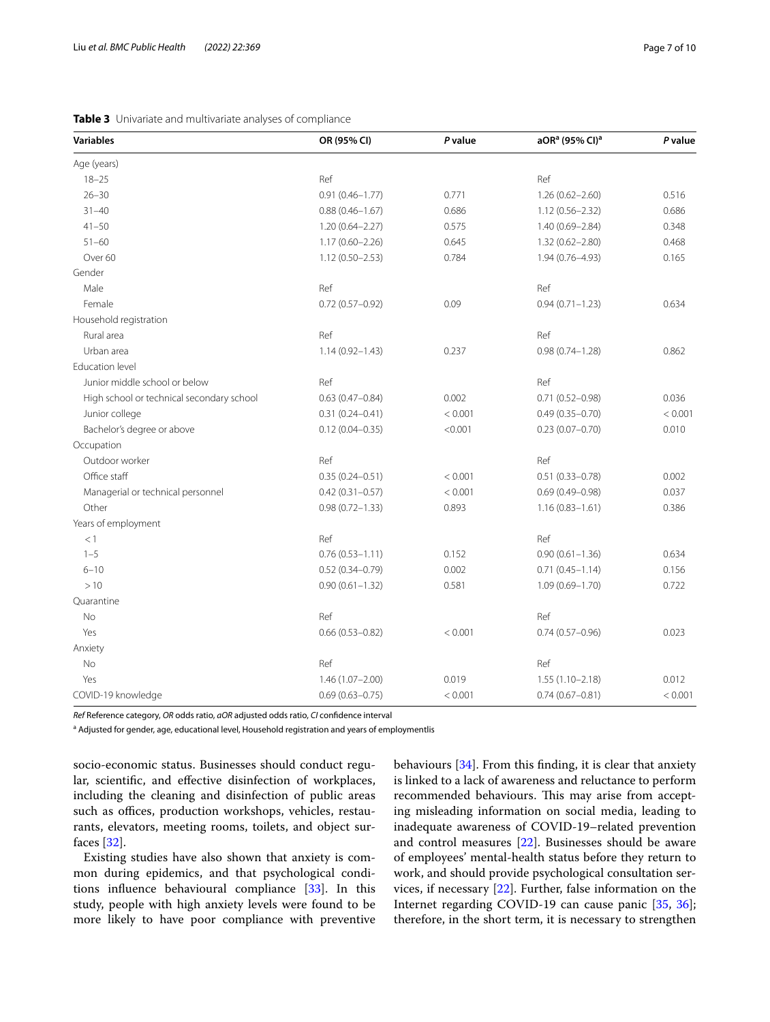# <span id="page-6-0"></span>**Table 3** Univariate and multivariate analyses of compliance

| <b>Variables</b>                          | OR (95% CI)         | P value | aOR <sup>a</sup> (95% CI) <sup>a</sup> | P value |
|-------------------------------------------|---------------------|---------|----------------------------------------|---------|
| Age (years)                               |                     |         |                                        |         |
| $18 - 25$                                 | Ref                 |         | Ref                                    |         |
| $26 - 30$                                 | $0.91(0.46 - 1.77)$ | 0.771   | $1.26(0.62 - 2.60)$                    | 0.516   |
| $31 - 40$                                 | $0.88(0.46 - 1.67)$ | 0.686   | $1.12(0.56 - 2.32)$                    | 0.686   |
| $41 - 50$                                 | $1.20(0.64 - 2.27)$ | 0.575   | 1.40 (0.69-2.84)                       | 0.348   |
| $51 - 60$                                 | $1.17(0.60 - 2.26)$ | 0.645   | $1.32(0.62 - 2.80)$                    | 0.468   |
| Over 60                                   | $1.12(0.50 - 2.53)$ | 0.784   | 1.94 (0.76-4.93)                       | 0.165   |
| Gender                                    |                     |         |                                        |         |
| Male                                      | Ref                 |         | Ref                                    |         |
| Female                                    | $0.72(0.57 - 0.92)$ | 0.09    | $0.94(0.71 - 1.23)$                    | 0.634   |
| Household registration                    |                     |         |                                        |         |
| Rural area                                | Ref                 |         | Ref                                    |         |
| Urban area                                | $1.14(0.92 - 1.43)$ | 0.237   | $0.98(0.74 - 1.28)$                    | 0.862   |
| <b>Education level</b>                    |                     |         |                                        |         |
| Junior middle school or below             | Ref                 |         | Ref                                    |         |
| High school or technical secondary school | $0.63(0.47 - 0.84)$ | 0.002   | $0.71(0.52 - 0.98)$                    | 0.036   |
| Junior college                            | $0.31(0.24 - 0.41)$ | < 0.001 | $0.49(0.35 - 0.70)$                    | < 0.001 |
| Bachelor's degree or above                | $0.12(0.04 - 0.35)$ | < 0.001 | $0.23(0.07 - 0.70)$                    | 0.010   |
| Occupation                                |                     |         |                                        |         |
| Outdoor worker                            | Ref                 |         | Ref                                    |         |
| Office staff                              | $0.35(0.24 - 0.51)$ | < 0.001 | $0.51(0.33 - 0.78)$                    | 0.002   |
| Managerial or technical personnel         | $0.42(0.31 - 0.57)$ | < 0.001 | $0.69(0.49 - 0.98)$                    | 0.037   |
| Other                                     | $0.98(0.72 - 1.33)$ | 0.893   | $1.16(0.83 - 1.61)$                    | 0.386   |
| Years of employment                       |                     |         |                                        |         |
| <1                                        | Ref                 |         | Ref                                    |         |
| $1 - 5$                                   | $0.76(0.53 - 1.11)$ | 0.152   | $0.90(0.61 - 1.36)$                    | 0.634   |
| $6 - 10$                                  | $0.52(0.34 - 0.79)$ | 0.002   | $0.71(0.45 - 1.14)$                    | 0.156   |
| >10                                       | $0.90(0.61 - 1.32)$ | 0.581   | $1.09(0.69 - 1.70)$                    | 0.722   |
| Quarantine                                |                     |         |                                        |         |
| No                                        | Ref                 |         | Ref                                    |         |
| Yes                                       | $0.66(0.53 - 0.82)$ | < 0.001 | $0.74(0.57 - 0.96)$                    | 0.023   |
| Anxiety                                   |                     |         |                                        |         |
| No                                        | Ref                 |         | Ref                                    |         |
| Yes                                       | 1.46 (1.07-2.00)    | 0.019   | $1.55(1.10 - 2.18)$                    | 0.012   |
| COVID-19 knowledge                        | $0.69(0.63 - 0.75)$ | < 0.001 | $0.74(0.67 - 0.81)$                    | < 0.001 |

*Ref* Reference category, *OR* odds ratio, *aOR* adjusted odds ratio, *CI* confdence interval

<sup>a</sup> Adjusted for gender, age, educational level, Household registration and years of employmentlis

socio-economic status. Businesses should conduct regular, scientifc, and efective disinfection of workplaces, including the cleaning and disinfection of public areas such as offices, production workshops, vehicles, restaurants, elevators, meeting rooms, toilets, and object surfaces [\[32](#page-8-31)].

Existing studies have also shown that anxiety is common during epidemics, and that psychological conditions infuence behavioural compliance [\[33](#page-8-32)]. In this study, people with high anxiety levels were found to be more likely to have poor compliance with preventive behaviours [\[34](#page-8-33)]. From this fnding, it is clear that anxiety is linked to a lack of awareness and reluctance to perform recommended behaviours. This may arise from accepting misleading information on social media, leading to inadequate awareness of COVID-19–related prevention and control measures [[22\]](#page-8-21). Businesses should be aware of employees' mental-health status before they return to work, and should provide psychological consultation services, if necessary [[22](#page-8-21)]. Further, false information on the Internet regarding COVID-19 can cause panic [[35](#page-8-34), [36](#page-8-35)]; therefore, in the short term, it is necessary to strengthen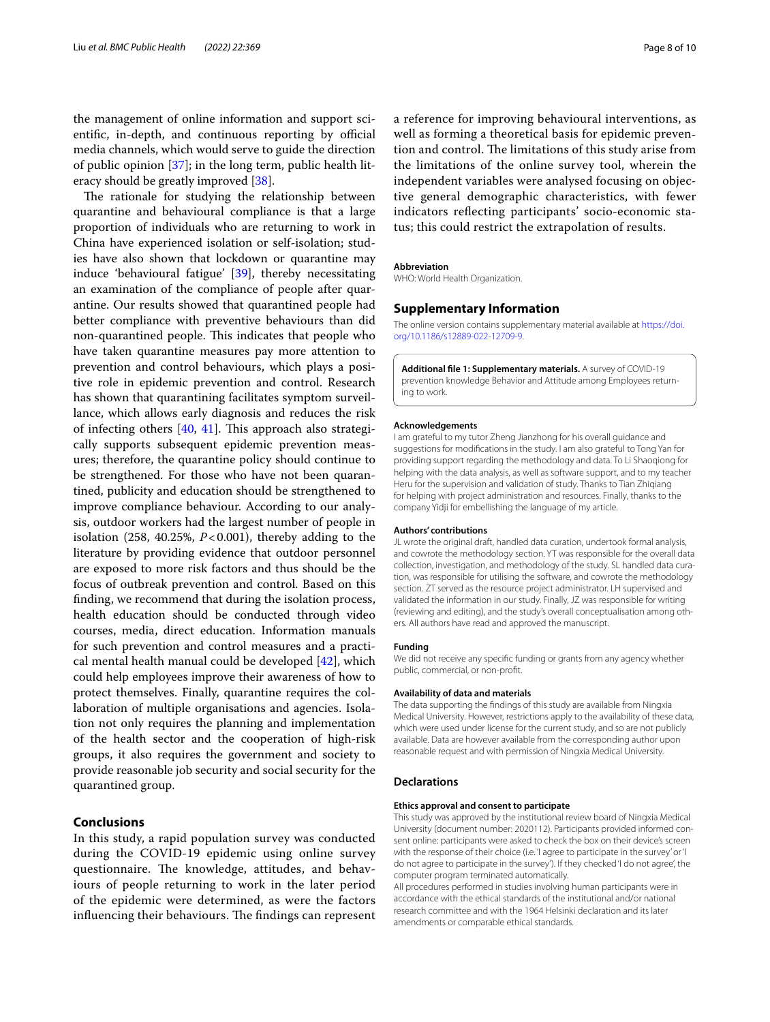the management of online information and support scientific, in-depth, and continuous reporting by official media channels, which would serve to guide the direction of public opinion [\[37\]](#page-8-36); in the long term, public health literacy should be greatly improved [\[38](#page-9-0)].

The rationale for studying the relationship between quarantine and behavioural compliance is that a large proportion of individuals who are returning to work in China have experienced isolation or self-isolation; studies have also shown that lockdown or quarantine may induce 'behavioural fatigue' [[39\]](#page-9-1), thereby necessitating an examination of the compliance of people after quarantine. Our results showed that quarantined people had better compliance with preventive behaviours than did non-quarantined people. This indicates that people who have taken quarantine measures pay more attention to prevention and control behaviours, which plays a positive role in epidemic prevention and control. Research has shown that quarantining facilitates symptom surveillance, which allows early diagnosis and reduces the risk of infecting others  $[40, 41]$  $[40, 41]$  $[40, 41]$ . This approach also strategically supports subsequent epidemic prevention measures; therefore, the quarantine policy should continue to be strengthened. For those who have not been quarantined, publicity and education should be strengthened to improve compliance behaviour. According to our analysis, outdoor workers had the largest number of people in isolation  $(258, 40.25\%, P<0.001)$ , thereby adding to the literature by providing evidence that outdoor personnel are exposed to more risk factors and thus should be the focus of outbreak prevention and control. Based on this fnding, we recommend that during the isolation process, health education should be conducted through video courses, media, direct education. Information manuals for such prevention and control measures and a practical mental health manual could be developed [[42\]](#page-9-4), which could help employees improve their awareness of how to protect themselves. Finally, quarantine requires the collaboration of multiple organisations and agencies. Isolation not only requires the planning and implementation of the health sector and the cooperation of high-risk groups, it also requires the government and society to provide reasonable job security and social security for the quarantined group.

# **Conclusions**

In this study, a rapid population survey was conducted during the COVID-19 epidemic using online survey questionnaire. The knowledge, attitudes, and behaviours of people returning to work in the later period of the epidemic were determined, as were the factors influencing their behaviours. The findings can represent

a reference for improving behavioural interventions, as well as forming a theoretical basis for epidemic prevention and control. The limitations of this study arise from the limitations of the online survey tool, wherein the independent variables were analysed focusing on objective general demographic characteristics, with fewer indicators refecting participants' socio-economic status; this could restrict the extrapolation of results.

#### **Abbreviation**

WHO: World Health Organization.

# **Supplementary Information**

The online version contains supplementary material available at [https://doi.](https://doi.org/10.1186/s12889-022-12709-9) [org/10.1186/s12889-022-12709-9](https://doi.org/10.1186/s12889-022-12709-9).

<span id="page-7-0"></span>**Additional fle 1: Supplementary materials.** A survey of COVID-19 prevention knowledge Behavior and Attitude among Employees returning to work.

#### **Acknowledgements**

I am grateful to my tutor Zheng Jianzhong for his overall guidance and suggestions for modifcations in the study. I am also grateful to Tong Yan for providing support regarding the methodology and data. To Li Shaoqiong for helping with the data analysis, as well as software support, and to my teacher Heru for the supervision and validation of study. Thanks to Tian Zhiqiang for helping with project administration and resources. Finally, thanks to the company Yidji for embellishing the language of my article.

#### **Authors' contributions**

JL wrote the original draft, handled data curation, undertook formal analysis, and cowrote the methodology section. YT was responsible for the overall data collection, investigation, and methodology of the study. SL handled data curation, was responsible for utilising the software, and cowrote the methodology section. ZT served as the resource project administrator. LH supervised and validated the information in our study. Finally, JZ was responsible for writing (reviewing and editing), and the study's overall conceptualisation among others. All authors have read and approved the manuscript.

# **Funding**

We did not receive any specifc funding or grants from any agency whether public, commercial, or non-proft.

#### **Availability of data and materials**

The data supporting the fndings of this study are available from Ningxia Medical University. However, restrictions apply to the availability of these data, which were used under license for the current study, and so are not publicly available. Data are however available from the corresponding author upon reasonable request and with permission of Ningxia Medical University.

#### **Declarations**

#### **Ethics approval and consent to participate**

This study was approved by the institutional review board of Ningxia Medical University (document number: 2020112). Participants provided informed consent online: participants were asked to check the box on their device's screen with the response of their choice (i.e. 'I agree to participate in the survey' or 'I do not agree to participate in the survey'). If they checked 'I do not agree', the computer program terminated automatically.

All procedures performed in studies involving human participants were in accordance with the ethical standards of the institutional and/or national research committee and with the 1964 Helsinki declaration and its later amendments or comparable ethical standards.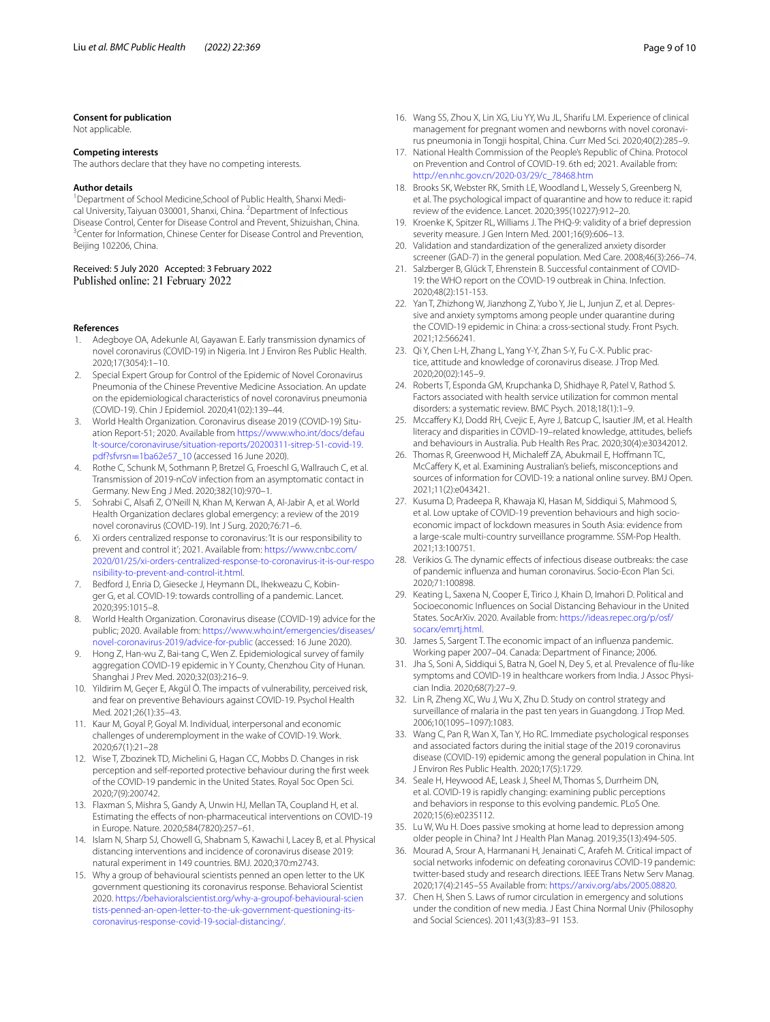#### **Consent for publication**

Not applicable.

#### **Competing interests**

The authors declare that they have no competing interests.

#### **Author details**

<sup>1</sup> Department of School Medicine, School of Public Health, Shanxi Medical University, Taiyuan 030001, Shanxi, China. <sup>2</sup> Department of Infectious Disease Control, Center for Disease Control and Prevent, Shizuishan, China. 3 <sup>3</sup> Center for Information, Chinese Center for Disease Control and Prevention, Beijing 102206, China.

# Received: 5 July 2020 Accepted: 3 February 2022<br>Published online: 21 February 2022

#### **References**

- <span id="page-8-0"></span>Adegboye OA, Adekunle AI, Gayawan E. Early transmission dynamics of novel coronavirus (COVID-19) in Nigeria. Int J Environ Res Public Health. 2020;17(3054):1–10.
- <span id="page-8-1"></span>2. Special Expert Group for Control of the Epidemic of Novel Coronavirus Pneumonia of the Chinese Preventive Medicine Association. An update on the epidemiological characteristics of novel coronavirus pneumonia (COVID-19). Chin J Epidemiol. 2020;41(02):139–44.
- <span id="page-8-2"></span>3. World Health Organization. Coronavirus disease 2019 (COVID-19) Situation Report-51; 2020. Available from [https://www.who.int/docs/defau](https://www.who.int/docs/default-source/coronaviruse/situation-reports/20200311-sitrep-51-covid-19.pdf?sfvrsn=1ba62e57_10) [lt-source/coronaviruse/situation-reports/20200311-sitrep-51-covid-19.](https://www.who.int/docs/default-source/coronaviruse/situation-reports/20200311-sitrep-51-covid-19.pdf?sfvrsn=1ba62e57_10) pdf?sfvrsn=1ba62e57\_10 (accessed 16 June 2020).
- <span id="page-8-3"></span>4. [Rothe C, Schunk M, Sothm](https://www.who.int/docs/default-source/coronaviruse/situation-reports/20200311-sitrep-51-covid-19.pdf?sfvrsn=1ba62e57_10)ann P, Bretzel G, Froeschl G, Wallrauch C, et al. Transmission of 2019-nCoV infection from an asymptomatic contact in Germany. New Eng J Med. 2020;382(10):970–1.
- <span id="page-8-4"></span>5. Sohrabi C, Alsaf Z, O'Neill N, Khan M, Kerwan A, Al-Jabir A, et al. World Health Organization declares global emergency: a review of the 2019 novel coronavirus (COVID-19). Int J Surg. 2020;76:71–6.
- <span id="page-8-5"></span>6. Xi orders centralized response to coronavirus: 'It is our responsibility to prevent and control it'; 2021. Available from: [https://www.cnbc.com/](https://www.cnbc.com/2020/01/25/xi-orders-centralized-response-to-coronavirus-it-is-our-responsibility-to-prevent-and-control-it.html) [2020/01/25/xi-orders-centralized-response-to-coronavirus-it-is-our-respo](https://www.cnbc.com/2020/01/25/xi-orders-centralized-response-to-coronavirus-it-is-our-responsibility-to-prevent-and-control-it.html) [nsibility-to-prevent-and-control-it.html.](https://www.cnbc.com/2020/01/25/xi-orders-centralized-response-to-coronavirus-it-is-our-responsibility-to-prevent-and-control-it.html)
- <span id="page-8-6"></span>7. Bedford J, Enria D, Giesecke J, Heymann DL, Ihekweazu C, Kobinger G, et al. COVID-19: towards controlling of a pandemic. Lancet. 2020;395:1015–8.
- <span id="page-8-7"></span>8. World Health Organization. Coronavirus disease (COVID-19) advice for the public; 2020. Available from: [https://www.who.int/emergencies/diseases/](https://www.who.int/emergencies/diseases/novel-coronavirus-2019/advice-for-public) [novel-coronavirus-2019/advice-for-public](https://www.who.int/emergencies/diseases/novel-coronavirus-2019/advice-for-public) (accessed: 16 June 2020).
- <span id="page-8-8"></span>9. Hong Z, Han-wu Z, Bai-tang C, Wen Z. Epidemiological survey of family aggregation COVID-19 epidemic in Y County, Chenzhou City of Hunan. Shanghai J Prev Med. 2020;32(03):216–9.
- <span id="page-8-9"></span>10. Yildirim M, Geçer E, Akgül Ö. The impacts of vulnerability, perceived risk, and fear on preventive Behaviours against COVID-19. Psychol Health Med. 2021;26(1):35–43.
- <span id="page-8-10"></span>11. Kaur M, Goyal P, Goyal M. Individual, interpersonal and economic challenges of underemployment in the wake of COVID-19. Work. 2020;67(1):21–28
- <span id="page-8-11"></span>12. Wise T, Zbozinek TD, Michelini G, Hagan CC, Mobbs D. Changes in risk perception and self-reported protective behaviour during the frst week of the COVID-19 pandemic in the United States. Royal Soc Open Sci. 2020;7(9):200742.
- <span id="page-8-12"></span>13. Flaxman S, Mishra S, Gandy A, Unwin HJ, Mellan TA, Coupland H, et al. Estimating the efects of non-pharmaceutical interventions on COVID-19 in Europe. Nature. 2020;584(7820):257–61.
- <span id="page-8-13"></span>14. Islam N, Sharp SJ, Chowell G, Shabnam S, Kawachi I, Lacey B, et al. Physical distancing interventions and incidence of coronavirus disease 2019: natural experiment in 149 countries. BMJ. 2020;370:m2743.
- <span id="page-8-14"></span>15. Why a group of behavioural scientists penned an open letter to the UK government questioning its coronavirus response. Behavioral Scientist 2020. [https://behavioralscientist.org/why-a-groupof-behavioural-scien](https://behavioralscientist.org/why-a-groupof-behavioural-scientists-penned-an-open-letter-to-the-uk-government-questioning-its-coronavirus-response-covid-19-social-distancing/) [tists-penned-an-open-letter-to-the-uk-government-questioning-its](https://behavioralscientist.org/why-a-groupof-behavioural-scientists-penned-an-open-letter-to-the-uk-government-questioning-its-coronavirus-response-covid-19-social-distancing/)[coronavirus-response-covid-19-social-distancing/](https://behavioralscientist.org/why-a-groupof-behavioural-scientists-penned-an-open-letter-to-the-uk-government-questioning-its-coronavirus-response-covid-19-social-distancing/).
- <span id="page-8-15"></span>16. Wang SS, Zhou X, Lin XG, Liu YY, Wu JL, Sharifu LM. Experience of clinical management for pregnant women and newborns with novel coronavirus pneumonia in Tongji hospital, China. Curr Med Sci. 2020;40(2):285–9.
- <span id="page-8-16"></span>17. National Health Commission of the People's Republic of China. Protocol on Prevention and Control of COVID-19. 6th ed; 2021. Available from: [http://en.nhc.gov.cn/2020-03/29/c\\_78468.htm](http://en.nhc.gov.cn/2020-03/29/c_78468.htm)
- <span id="page-8-17"></span>18. Brooks SK, Webster RK, Smith LE, Woodland L, Wessely S, Greenberg N, et al. The psychological impact of quarantine and how to reduce it: rapid review of the evidence. Lancet. 2020;395(10227):912–20.
- <span id="page-8-18"></span>19. Kroenke K, Spitzer RL, Williams J. The PHQ-9: validity of a brief depression severity measure. J Gen Intern Med. 2001;16(9):606–13.
- <span id="page-8-19"></span>20. Validation and standardization of the generalized anxiety disorder screener (GAD-7) in the general population. Med Care. 2008;46(3):266–74.
- <span id="page-8-20"></span>21. Salzberger B, Glück T, Ehrenstein B. Successful containment of COVID-19: the WHO report on the COVID-19 outbreak in China. Infection. 2020;48(2):151-153.
- <span id="page-8-21"></span>22. Yan T, Zhizhong W, Jianzhong Z, Yubo Y, Jie L, Junjun Z, et al. Depressive and anxiety symptoms among people under quarantine during the COVID-19 epidemic in China: a cross-sectional study. Front Psych. 2021;12:566241.
- <span id="page-8-22"></span>23. Qi Y, Chen L-H, Zhang L, Yang Y-Y, Zhan S-Y, Fu C-X. Public practice, attitude and knowledge of coronavirus disease. J Trop Med. 2020;20(02):145–9.
- <span id="page-8-23"></span>24. Roberts T, Esponda GM, Krupchanka D, Shidhaye R, Patel V, Rathod S. Factors associated with health service utilization for common mental disorders: a systematic review. BMC Psych. 2018;18(1):1–9.
- <span id="page-8-24"></span>25. Mccafery KJ, Dodd RH, Cvejic E, Ayre J, Batcup C, Isautier JM, et al. Health literacy and disparities in COVID-19–related knowledge, attitudes, beliefs and behaviours in Australia. Pub Health Res Prac. 2020;30(4):e30342012.
- <span id="page-8-25"></span>26. Thomas R, Greenwood H, Michaleff ZA, Abukmail E, Hoffmann TC, McCaffery K, et al. Examining Australian's beliefs, misconceptions and sources of information for COVID-19: a national online survey. BMJ Open. 2021;11(2):e043421.
- <span id="page-8-26"></span>27. Kusuma D, Pradeepa R, Khawaja KI, Hasan M, Siddiqui S, Mahmood S, et al. Low uptake of COVID-19 prevention behaviours and high socioeconomic impact of lockdown measures in South Asia: evidence from a large-scale multi-country surveillance programme. SSM-Pop Health. 2021;13:100751.
- <span id="page-8-27"></span>28. Verikios G. The dynamic efects of infectious disease outbreaks: the case of pandemic infuenza and human coronavirus. Socio-Econ Plan Sci. 2020;71:100898.
- <span id="page-8-28"></span>29. Keating L, Saxena N, Cooper E, Tirico J, Khain D, Imahori D. Political and Socioeconomic Infuences on Social Distancing Behaviour in the United States. SocArXiv. 2020. Available from: [https://ideas.repec.org/p/osf/](https://ideas.repec.org/p/osf/socarx/emrtj.html) [socarx/emrtj.html.](https://ideas.repec.org/p/osf/socarx/emrtj.html)
- <span id="page-8-29"></span>30. James S, Sargent T. The economic impact of an infuenza pandemic. Working paper 2007–04. Canada: Department of Finance; 2006.
- <span id="page-8-30"></span>31. Jha S, Soni A, Siddiqui S, Batra N, Goel N, Dey S, et al. Prevalence of fu-like symptoms and COVID-19 in healthcare workers from India. J Assoc Physician India. 2020;68(7):27–9.
- <span id="page-8-31"></span>32. Lin R, Zheng XC, Wu J, Wu X, Zhu D. Study on control strategy and surveillance of malaria in the past ten years in Guangdong. J Trop Med. 2006;10(1095–1097):1083.
- <span id="page-8-32"></span>33. Wang C, Pan R, Wan X, Tan Y, Ho RC. Immediate psychological responses and associated factors during the initial stage of the 2019 coronavirus disease (COVID-19) epidemic among the general population in China. Int J Environ Res Public Health. 2020;17(5):1729.
- <span id="page-8-33"></span>34. Seale H, Heywood AE, Leask J, Sheel M, Thomas S, Durrheim DN, et al. COVID-19 is rapidly changing: examining public perceptions and behaviors in response to this evolving pandemic. PLoS One. 2020;15(6):e0235112.
- <span id="page-8-34"></span>35. Lu W, Wu H. Does passive smoking at home lead to depression among older people in China? Int J Health Plan Manag. 2019;35(13):494-505.
- <span id="page-8-35"></span>36. Mourad A, Srour A, Harmanani H, Jenainati C, Arafeh M. Critical impact of social networks infodemic on defeating coronavirus COVID-19 pandemic: twitter-based study and research directions. IEEE Trans Netw Serv Manag. 2020;17(4):2145–55 Available from:<https://arxiv.org/abs/2005.08820>.
- <span id="page-8-36"></span>37. Chen H, Shen S. Laws of rumor circulation in emergency and solutions under the condition of new media. J East China Normal Univ (Philosophy and Social Sciences). 2011;43(3):83–91 153.